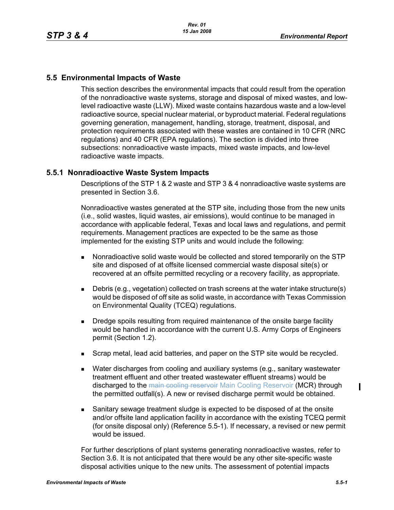# **5.5 Environmental Impacts of Waste**

This section describes the environmental impacts that could result from the operation of the nonradioactive waste systems, storage and disposal of mixed wastes, and lowlevel radioactive waste (LLW). Mixed waste contains hazardous waste and a low-level radioactive source, special nuclear material, or byproduct material. Federal regulations governing generation, management, handling, storage, treatment, disposal, and protection requirements associated with these wastes are contained in 10 CFR (NRC regulations) and 40 CFR (EPA regulations). The section is divided into three subsections: nonradioactive waste impacts, mixed waste impacts, and low-level radioactive waste impacts.

# **5.5.1 Nonradioactive Waste System Impacts**

Descriptions of the STP 1 & 2 waste and STP 3 & 4 nonradioactive waste systems are presented in Section 3.6.

Nonradioactive wastes generated at the STP site, including those from the new units (i.e., solid wastes, liquid wastes, air emissions), would continue to be managed in accordance with applicable federal, Texas and local laws and regulations, and permit requirements. Management practices are expected to be the same as those implemented for the existing STP units and would include the following:

- Nonradioactive solid waste would be collected and stored temporarily on the STP site and disposed of at offsite licensed commercial waste disposal site(s) or recovered at an offsite permitted recycling or a recovery facility, as appropriate.
- Debris (e.g., vegetation) collected on trash screens at the water intake structure(s) would be disposed of off site as solid waste, in accordance with Texas Commission on Environmental Quality (TCEQ) regulations.
- **Dredge spoils resulting from required maintenance of the onsite barge facility** would be handled in accordance with the current U.S. Army Corps of Engineers permit (Section 1.2).
- Scrap metal, lead acid batteries, and paper on the STP site would be recycled.
- **Water discharges from cooling and auxiliary systems (e.g., sanitary wastewater** treatment effluent and other treated wastewater effluent streams) would be discharged to the main cooling reservoir Main Cooling Reservoir (MCR) through the permitted outfall(s). A new or revised discharge permit would be obtained.
- Sanitary sewage treatment sludge is expected to be disposed of at the onsite and/or offsite land application facility in accordance with the existing TCEQ permit (for onsite disposal only) (Reference 5.5-1). If necessary, a revised or new permit would be issued.

For further descriptions of plant systems generating nonradioactive wastes, refer to Section 3.6. It is not anticipated that there would be any other site-specific waste disposal activities unique to the new units. The assessment of potential impacts

 $\mathbf I$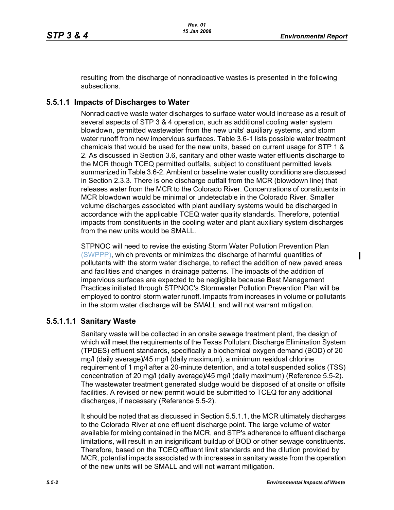resulting from the discharge of nonradioactive wastes is presented in the following subsections.

### **5.5.1.1 Impacts of Discharges to Water**

Nonradioactive waste water discharges to surface water would increase as a result of several aspects of STP 3 & 4 operation, such as additional cooling water system blowdown, permitted wastewater from the new units' auxiliary systems, and storm water runoff from new impervious surfaces. Table 3.6-1 lists possible water treatment chemicals that would be used for the new units, based on current usage for STP 1 & 2. As discussed in Section 3.6, sanitary and other waste water effluents discharge to the MCR though TCEQ permitted outfalls, subject to constituent permitted levels summarized in Table 3.6-2. Ambient or baseline water quality conditions are discussed in Section 2.3.3. There is one discharge outfall from the MCR (blowdown line) that releases water from the MCR to the Colorado River. Concentrations of constituents in MCR blowdown would be minimal or undetectable in the Colorado River. Smaller volume discharges associated with plant auxiliary systems would be discharged in accordance with the applicable TCEQ water quality standards. Therefore, potential impacts from constituents in the cooling water and plant auxiliary system discharges from the new units would be SMALL.

STPNOC will need to revise the existing Storm Water Pollution Prevention Plan (SWPPP), which prevents or minimizes the discharge of harmful quantities of pollutants with the storm water discharge, to reflect the addition of new paved areas and facilities and changes in drainage patterns. The impacts of the addition of impervious surfaces are expected to be negligible because Best Management Practices initiated through STPNOC's Stormwater Pollution Prevention Plan will be employed to control storm water runoff. Impacts from increases in volume or pollutants in the storm water discharge will be SMALL and will not warrant mitigation.

#### **5.5.1.1.1 Sanitary Waste**

Sanitary waste will be collected in an onsite sewage treatment plant, the design of which will meet the requirements of the Texas Pollutant Discharge Elimination System (TPDES) effluent standards, specifically a biochemical oxygen demand (BOD) of 20 mg/l (daily average)/45 mg/l (daily maximum), a minimum residual chlorine requirement of 1 mg/l after a 20-minute detention, and a total suspended solids (TSS) concentration of 20 mg/l (daily average)/45 mg/l (daily maximum) (Reference 5.5-2). The wastewater treatment generated sludge would be disposed of at onsite or offsite facilities. A revised or new permit would be submitted to TCEQ for any additional discharges, if necessary (Reference 5.5-2).

It should be noted that as discussed in Section 5.5.1.1, the MCR ultimately discharges to the Colorado River at one effluent discharge point. The large volume of water available for mixing contained in the MCR, and STP's adherence to effluent discharge limitations, will result in an insignificant buildup of BOD or other sewage constituents. Therefore, based on the TCEQ effluent limit standards and the dilution provided by MCR, potential impacts associated with increases in sanitary waste from the operation of the new units will be SMALL and will not warrant mitigation.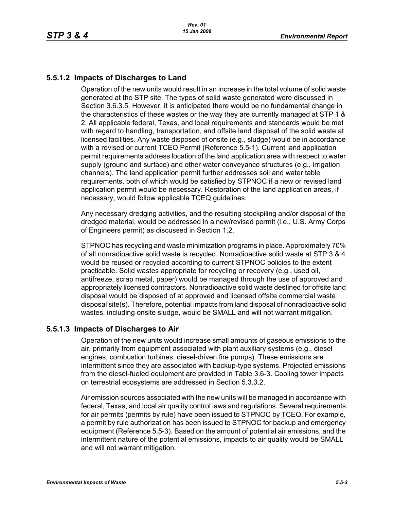# **5.5.1.2 Impacts of Discharges to Land**

Operation of the new units would result in an increase in the total volume of solid waste generated at the STP site. The types of solid waste generated were discussed in Section 3.6.3.5. However, it is anticipated there would be no fundamental change in the characteristics of these wastes or the way they are currently managed at STP 1 & 2. All applicable federal, Texas, and local requirements and standards would be met with regard to handling, transportation, and offsite land disposal of the solid waste at licensed facilities. Any waste disposed of onsite (e.g., sludge) would be in accordance with a revised or current TCEQ Permit (Reference 5.5-1). Current land application permit requirements address location of the land application area with respect to water supply (ground and surface) and other water conveyance structures (e.g., irrigation channels). The land application permit further addresses soil and water table requirements, both of which would be satisfied by STPNOC if a new or revised land application permit would be necessary. Restoration of the land application areas, if necessary, would follow applicable TCEQ guidelines.

Any necessary dredging activities, and the resulting stockpiling and/or disposal of the dredged material, would be addressed in a new/revised permit (i.e., U.S. Army Corps of Engineers permit) as discussed in Section 1.2.

STPNOC has recycling and waste minimization programs in place. Approximately 70% of all nonradioactive solid waste is recycled. Nonradioactive solid waste at STP 3 & 4 would be reused or recycled according to current STPNOC policies to the extent practicable. Solid wastes appropriate for recycling or recovery (e.g., used oil, antifreeze, scrap metal, paper) would be managed through the use of approved and appropriately licensed contractors. Nonradioactive solid waste destined for offsite land disposal would be disposed of at approved and licensed offsite commercial waste disposal site(s). Therefore, potential impacts from land disposal of nonradioactive solid wastes, including onsite sludge, would be SMALL and will not warrant mitigation.

### **5.5.1.3 Impacts of Discharges to Air**

Operation of the new units would increase small amounts of gaseous emissions to the air, primarily from equipment associated with plant auxiliary systems (e.g., diesel engines, combustion turbines, diesel-driven fire pumps). These emissions are intermittent since they are associated with backup-type systems. Projected emissions from the diesel-fueled equipment are provided in Table 3.6-3. Cooling tower impacts on terrestrial ecosystems are addressed in Section 5.3.3.2.

Air emission sources associated with the new units will be managed in accordance with federal, Texas, and local air quality control laws and regulations. Several requirements for air permits (permits by rule) have been issued to STPNOC by TCEQ. For example, a permit by rule authorization has been issued to STPNOC for backup and emergency equipment (Reference 5.5-3). Based on the amount of potential air emissions, and the intermittent nature of the potential emissions, impacts to air quality would be SMALL and will not warrant mitigation.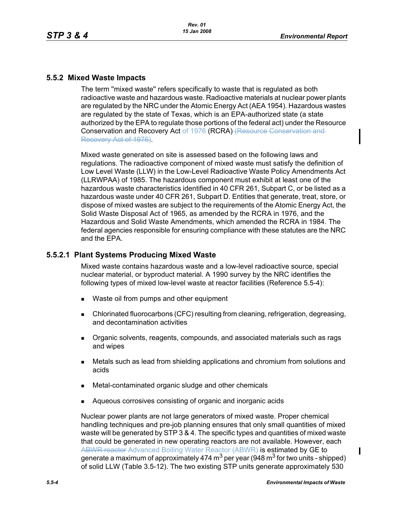# **5.5.2 Mixed Waste Impacts**

The term ''mixed waste'' refers specifically to waste that is regulated as both radioactive waste and hazardous waste. Radioactive materials at nuclear power plants are regulated by the NRC under the Atomic Energy Act (AEA 1954). Hazardous wastes are regulated by the state of Texas, which is an EPA-authorized state (a state authorized by the EPA to regulate those portions of the federal act) under the Resource Conservation and Recovery Act of 1976 (RCRA) (Resource Conservation and Recovery Act of 1976).

Mixed waste generated on site is assessed based on the following laws and regulations. The radioactive component of mixed waste must satisfy the definition of Low Level Waste (LLW) in the Low-Level Radioactive Waste Policy Amendments Act (LLRWPAA) of 1985. The hazardous component must exhibit at least one of the hazardous waste characteristics identified in 40 CFR 261, Subpart C, or be listed as a hazardous waste under 40 CFR 261, Subpart D. Entities that generate, treat, store, or dispose of mixed wastes are subject to the requirements of the Atomic Energy Act, the Solid Waste Disposal Act of 1965, as amended by the RCRA in 1976, and the Hazardous and Solid Waste Amendments, which amended the RCRA in 1984. The federal agencies responsible for ensuring compliance with these statutes are the NRC and the EPA.

# **5.5.2.1 Plant Systems Producing Mixed Waste**

Mixed waste contains hazardous waste and a low-level radioactive source, special nuclear material, or byproduct material. A 1990 survey by the NRC identifies the following types of mixed low-level waste at reactor facilities (Reference 5.5-4):

- Waste oil from pumps and other equipment
- Chlorinated fluorocarbons (CFC) resulting from cleaning, refrigeration, degreasing, and decontamination activities
- Organic solvents, reagents, compounds, and associated materials such as rags and wipes
- Metals such as lead from shielding applications and chromium from solutions and acids
- Metal-contaminated organic sludge and other chemicals
- Aqueous corrosives consisting of organic and inorganic acids

Nuclear power plants are not large generators of mixed waste. Proper chemical handling techniques and pre-job planning ensures that only small quantities of mixed waste will be generated by STP 3 & 4. The specific types and quantities of mixed waste that could be generated in new operating reactors are not available. However, each ABWR reactor Advanced Boiling Water Reactor (ABWR) is estimated by GE to generate a maximum of approximately 474 m<sup>3</sup> per year (948 m<sup>3</sup> for two units - shipped) of solid LLW (Table 3.5-12). The two existing STP units generate approximately 530

Ι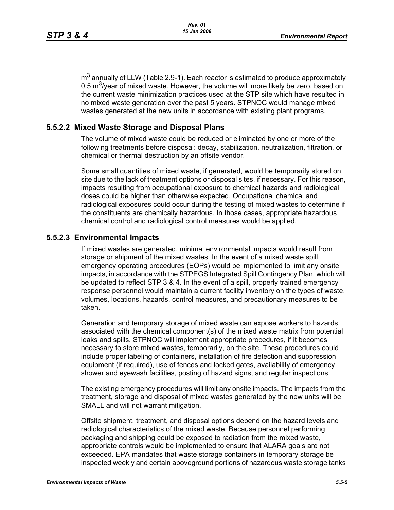$m<sup>3</sup>$  annually of LLW (Table 2.9-1). Each reactor is estimated to produce approximately 0.5  $\text{m}^3$ /year of mixed waste. However, the volume will more likely be zero, based on the current waste minimization practices used at the STP site which have resulted in no mixed waste generation over the past 5 years. STPNOC would manage mixed wastes generated at the new units in accordance with existing plant programs.

### **5.5.2.2 Mixed Waste Storage and Disposal Plans**

The volume of mixed waste could be reduced or eliminated by one or more of the following treatments before disposal: decay, stabilization, neutralization, filtration, or chemical or thermal destruction by an offsite vendor.

Some small quantities of mixed waste, if generated, would be temporarily stored on site due to the lack of treatment options or disposal sites, if necessary. For this reason, impacts resulting from occupational exposure to chemical hazards and radiological doses could be higher than otherwise expected. Occupational chemical and radiological exposures could occur during the testing of mixed wastes to determine if the constituents are chemically hazardous. In those cases, appropriate hazardous chemical control and radiological control measures would be applied.

#### **5.5.2.3 Environmental Impacts**

If mixed wastes are generated, minimal environmental impacts would result from storage or shipment of the mixed wastes. In the event of a mixed waste spill, emergency operating procedures (EOPs) would be implemented to limit any onsite impacts, in accordance with the STPEGS Integrated Spill Contingency Plan, which will be updated to reflect STP 3 & 4. In the event of a spill, properly trained emergency response personnel would maintain a current facility inventory on the types of waste, volumes, locations, hazards, control measures, and precautionary measures to be taken.

Generation and temporary storage of mixed waste can expose workers to hazards associated with the chemical component(s) of the mixed waste matrix from potential leaks and spills. STPNOC will implement appropriate procedures, if it becomes necessary to store mixed wastes, temporarily, on the site. These procedures could include proper labeling of containers, installation of fire detection and suppression equipment (if required), use of fences and locked gates, availability of emergency shower and eyewash facilities, posting of hazard signs, and regular inspections.

The existing emergency procedures will limit any onsite impacts. The impacts from the treatment, storage and disposal of mixed wastes generated by the new units will be SMALL and will not warrant mitigation.

Offsite shipment, treatment, and disposal options depend on the hazard levels and radiological characteristics of the mixed waste. Because personnel performing packaging and shipping could be exposed to radiation from the mixed waste, appropriate controls would be implemented to ensure that ALARA goals are not exceeded. EPA mandates that waste storage containers in temporary storage be inspected weekly and certain aboveground portions of hazardous waste storage tanks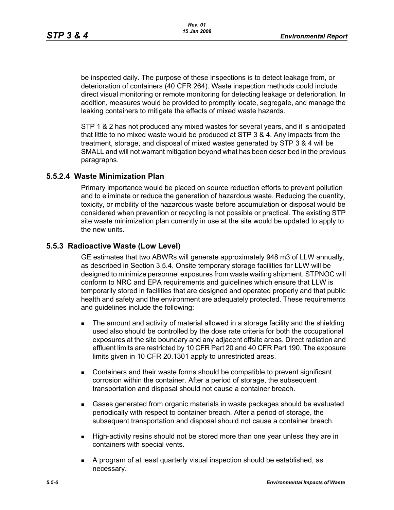be inspected daily. The purpose of these inspections is to detect leakage from, or deterioration of containers (40 CFR 264). Waste inspection methods could include direct visual monitoring or remote monitoring for detecting leakage or deterioration. In addition, measures would be provided to promptly locate, segregate, and manage the leaking containers to mitigate the effects of mixed waste hazards.

STP 1 & 2 has not produced any mixed wastes for several years, and it is anticipated that little to no mixed waste would be produced at STP 3 & 4. Any impacts from the treatment, storage, and disposal of mixed wastes generated by STP 3 & 4 will be SMALL and will not warrant mitigation beyond what has been described in the previous paragraphs.

### **5.5.2.4 Waste Minimization Plan**

Primary importance would be placed on source reduction efforts to prevent pollution and to eliminate or reduce the generation of hazardous waste. Reducing the quantity, toxicity, or mobility of the hazardous waste before accumulation or disposal would be considered when prevention or recycling is not possible or practical. The existing STP site waste minimization plan currently in use at the site would be updated to apply to the new units.

### **5.5.3 Radioactive Waste (Low Level)**

GE estimates that two ABWRs will generate approximately 948 m3 of LLW annually, as described in Section 3.5.4. Onsite temporary storage facilities for LLW will be designed to minimize personnel exposures from waste waiting shipment. STPNOC will conform to NRC and EPA requirements and guidelines which ensure that LLW is temporarily stored in facilities that are designed and operated properly and that public health and safety and the environment are adequately protected. These requirements and guidelines include the following:

- The amount and activity of material allowed in a storage facility and the shielding used also should be controlled by the dose rate criteria for both the occupational exposures at the site boundary and any adjacent offsite areas. Direct radiation and effluent limits are restricted by 10 CFR Part 20 and 40 CFR Part 190. The exposure limits given in 10 CFR 20.1301 apply to unrestricted areas.
- Containers and their waste forms should be compatible to prevent significant corrosion within the container. After a period of storage, the subsequent transportation and disposal should not cause a container breach.
- Gases generated from organic materials in waste packages should be evaluated periodically with respect to container breach. After a period of storage, the subsequent transportation and disposal should not cause a container breach.
- **High-activity resins should not be stored more than one year unless they are in** containers with special vents.
- A program of at least quarterly visual inspection should be established, as necessary.